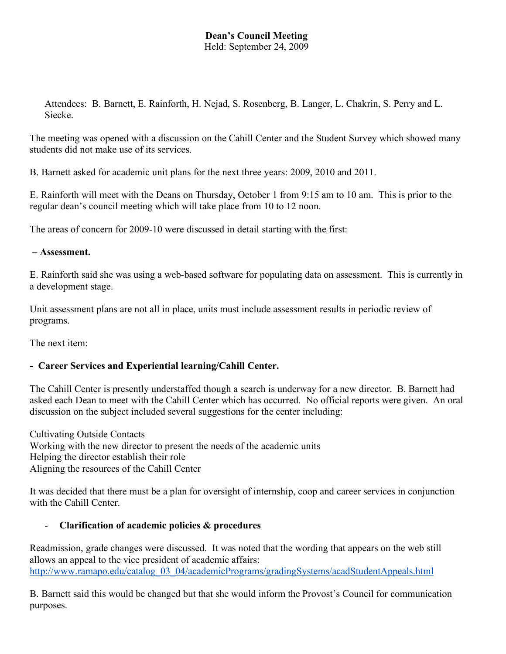## **Dean's Council Meeting** Held: September 24, 2009

Attendees: B. Barnett, E. Rainforth, H. Nejad, S. Rosenberg, B. Langer, L. Chakrin, S. Perry and L. Siecke.

The meeting was opened with a discussion on the Cahill Center and the Student Survey which showed many students did not make use of its services.

B. Barnett asked for academic unit plans for the next three years: 2009, 2010 and 2011.

E. Rainforth will meet with the Deans on Thursday, October 1 from 9:15 am to 10 am. This is prior to the regular dean's council meeting which will take place from 10 to 12 noon.

The areas of concern for 2009-10 were discussed in detail starting with the first:

## **– Assessment.**

E. Rainforth said she was using a web-based software for populating data on assessment. This is currently in a development stage.

Unit assessment plans are not all in place, units must include assessment results in periodic review of programs.

The next item:

## **- Career Services and Experiential learning/Cahill Center.**

The Cahill Center is presently understaffed though a search is underway for a new director. B. Barnett had asked each Dean to meet with the Cahill Center which has occurred. No official reports were given. An oral discussion on the subject included several suggestions for the center including:

Cultivating Outside Contacts Working with the new director to present the needs of the academic units Helping the director establish their role Aligning the resources of the Cahill Center

It was decided that there must be a plan for oversight of internship, coop and career services in conjunction with the Cahill Center.

## - **Clarification of academic policies & procedures**

Readmission, grade changes were discussed. It was noted that the wording that appears on the web still allows an appeal to the vice president of academic affairs: http://www.ramapo.edu/catalog\_03\_04/academicPrograms/gradingSystems/acadStudentAppeals.html

B. Barnett said this would be changed but that she would inform the Provost's Council for communication purposes.